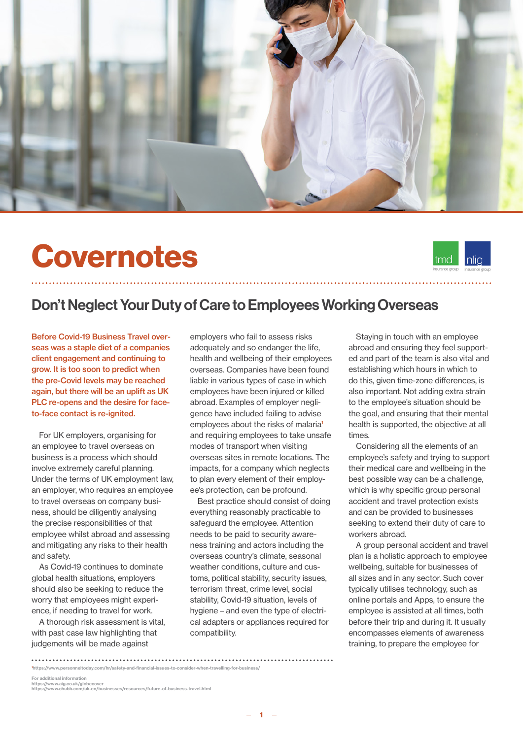

# Covernotes



### Don't Neglect Your Duty of Care to Employees Working Overseas

Before Covid-19 Business Travel overseas was a staple diet of a companies client engagement and continuing to grow. It is too soon to predict when the pre-Covid levels may be reached again, but there will be an uplift as UK PLC re-opens and the desire for faceto-face contact is re-ignited.

For UK employers, organising for an employee to travel overseas on business is a process which should involve extremely careful planning. Under the terms of UK employment law, an employer, who requires an employee to travel overseas on company business, should be diligently analysing the precise responsibilities of that employee whilst abroad and assessing and mitigating any risks to their health and safety.

As Covid-19 continues to dominate global health situations, employers should also be seeking to reduce the worry that employees might experience, if needing to travel for work.

A thorough risk assessment is vital, with past case law highlighting that judgements will be made against

employers who fail to assess risks adequately and so endanger the life, health and wellbeing of their employees overseas. Companies have been found liable in various types of case in which employees have been injured or killed abroad. Examples of employer negligence have included failing to advise employees about the risks of malaria<sup>1</sup> and requiring employees to take unsafe modes of transport when visiting overseas sites in remote locations. The impacts, for a company which neglects to plan every element of their employee's protection, can be profound.

Best practice should consist of doing everything reasonably practicable to safeguard the employee. Attention needs to be paid to security awareness training and actors including the overseas country's climate, seasonal weather conditions, culture and customs, political stability, security issues, terrorism threat, crime level, social stability, Covid-19 situation, levels of hygiene – and even the type of electrical adapters or appliances required for compatibility.

Staying in touch with an employee abroad and ensuring they feel supported and part of the team is also vital and establishing which hours in which to do this, given time-zone differences, is also important. Not adding extra strain to the employee's situation should be the goal, and ensuring that their mental health is supported, the objective at all times.

Considering all the elements of an employee's safety and trying to support their medical care and wellbeing in the best possible way can be a challenge, which is why specific group personal accident and travel protection exists and can be provided to businesses seeking to extend their duty of care to workers abroad.

A group personal accident and travel plan is a holistic approach to employee wellbeing, suitable for businesses of all sizes and in any sector. Such cover typically utilises technology, such as online portals and Apps, to ensure the employee is assisted at all times, both before their trip and during it. It usually encompasses elements of awareness training, to prepare the employee for

1 https://www.personneltoday.com/hr/safety-and-financial-issues-to-consider-when-travelling-for-business/

For additional information

https://www.aig.co.uk/globecover https://www.chubb.com/uk-en/businesses/resources/future-of-business-travel.html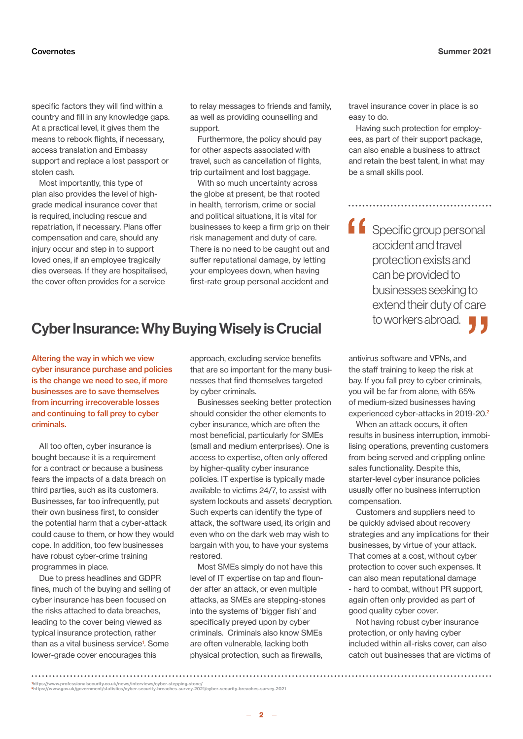specific factors they will find within a country and fill in any knowledge gaps. At a practical level, it gives them the means to rebook flights, if necessary, access translation and Embassy support and replace a lost passport or stolen cash.

Most importantly, this type of plan also provides the level of highgrade medical insurance cover that is required, including rescue and repatriation, if necessary. Plans offer compensation and care, should any injury occur and step in to support loved ones, if an employee tragically dies overseas. If they are hospitalised, the cover often provides for a service

to relay messages to friends and family, as well as providing counselling and support.

Furthermore, the policy should pay for other aspects associated with travel, such as cancellation of flights, trip curtailment and lost baggage.

With so much uncertainty across the globe at present, be that rooted in health, terrorism, crime or social and political situations, it is vital for businesses to keep a firm grip on their risk management and duty of care. There is no need to be caught out and suffer reputational damage, by letting your employees down, when having first-rate group personal accident and

# to workers abroad. Cyber Insurance: Why Buying Wisely is Crucial

Altering the way in which we view cyber insurance purchase and policies is the change we need to see, if more businesses are to save themselves from incurring irrecoverable losses and continuing to fall prey to cyber criminals.

All too often, cyber insurance is bought because it is a requirement for a contract or because a business fears the impacts of a data breach on third parties, such as its customers. Businesses, far too infrequently, put their own business first, to consider the potential harm that a cyber-attack could cause to them, or how they would cope. In addition, too few businesses have robust cyber-crime training programmes in place.

Due to press headlines and GDPR fines, much of the buying and selling of cyber insurance has been focused on the risks attached to data breaches, leading to the cover being viewed as typical insurance protection, rather than as a vital business service<sup>1</sup>. Some lower-grade cover encourages this

approach, excluding service benefits that are so important for the many businesses that find themselves targeted by cyber criminals.

Businesses seeking better protection should consider the other elements to cyber insurance, which are often the most beneficial, particularly for SMEs (small and medium enterprises). One is access to expertise, often only offered by higher-quality cyber insurance policies. IT expertise is typically made available to victims 24/7, to assist with system lockouts and assets' decryption. Such experts can identify the type of attack, the software used, its origin and even who on the dark web may wish to bargain with you, to have your systems restored.

Most SMEs simply do not have this level of IT expertise on tap and flounder after an attack, or even multiple attacks, as SMEs are stepping-stones into the systems of 'bigger fish' and specifically preyed upon by cyber criminals. Criminals also know SMEs are often vulnerable, lacking both physical protection, such as firewalls,

travel insurance cover in place is so easy to do.

Having such protection for employees, as part of their support package, can also enable a business to attract and retain the best talent, in what may be a small skills pool.

**f** Specific group personal accident and travel protection exists and can be provided to businesses seeking to extend their duty of care

antivirus software and VPNs, and the staff training to keep the risk at bay. If you fall prey to cyber criminals, you will be far from alone, with 65% of medium-sized businesses having experienced cyber-attacks in 2019-20.<sup>2</sup>

When an attack occurs, it often results in business interruption, immobilising operations, preventing customers from being served and crippling online sales functionality. Despite this, starter-level cyber insurance policies usually offer no business interruption compensation.

Customers and suppliers need to be quickly advised about recovery strategies and any implications for their businesses, by virtue of your attack. That comes at a cost, without cyber protection to cover such expenses. It can also mean reputational damage - hard to combat, without PR support, again often only provided as part of good quality cyber cover.

Not having robust cyber insurance protection, or only having cyber included within all-risks cover, can also catch out businesses that are victims of

 $-2 -$ 

<sup>1</sup> https://www.professionalsecurity.co.uk/news/interviews/cyber-stepping-stone/ <sup>2</sup>https://www.gov.uk/government/statistics/cyber-security-breaches-survey-2021/cyber-security-breaches-survey-2021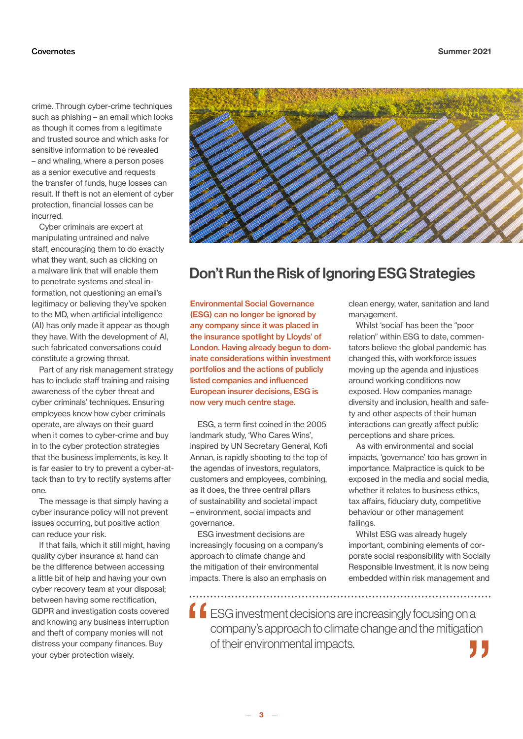crime. Through cyber-crime techniques such as phishing – an email which looks as though it comes from a legitimate and trusted source and which asks for sensitive information to be revealed – and whaling, where a person poses as a senior executive and requests the transfer of funds, huge losses can result. If theft is not an element of cyber protection, financial losses can be incurred.

Cyber criminals are expert at manipulating untrained and naïve staff, encouraging them to do exactly what they want, such as clicking on a malware link that will enable them to penetrate systems and steal information, not questioning an email's legitimacy or believing they've spoken to the MD, when artificial intelligence (AI) has only made it appear as though they have. With the development of AI, such fabricated conversations could constitute a growing threat.

Part of any risk management strategy has to include staff training and raising awareness of the cyber threat and cyber criminals' techniques. Ensuring employees know how cyber criminals operate, are always on their guard when it comes to cyber-crime and buy in to the cyber protection strategies that the business implements, is key. It is far easier to try to prevent a cyber-attack than to try to rectify systems after one.

The message is that simply having a cyber insurance policy will not prevent issues occurring, but positive action can reduce your risk.

If that fails, which it still might, having quality cyber insurance at hand can be the difference between accessing a little bit of help and having your own cyber recovery team at your disposal; between having some rectification, GDPR and investigation costs covered and knowing any business interruption and theft of company monies will not distress your company finances. Buy your cyber protection wisely.



## Don't Run the Risk of Ignoring ESG Strategies

Environmental Social Governance (ESG) can no longer be ignored by any company since it was placed in the insurance spotlight by Lloyds' of London. Having already begun to dominate considerations within investment portfolios and the actions of publicly listed companies and influenced European insurer decisions, ESG is now very much centre stage.

ESG, a term first coined in the 2005 landmark study, 'Who Cares Wins', inspired by UN Secretary General, Kofi Annan, is rapidly shooting to the top of the agendas of investors, regulators, customers and employees, combining, as it does, the three central pillars of sustainability and societal impact – environment, social impacts and governance.

ESG investment decisions are increasingly focusing on a company's approach to climate change and the mitigation of their environmental impacts. There is also an emphasis on clean energy, water, sanitation and land management.

Whilst 'social' has been the "poor relation" within ESG to date, commentators believe the global pandemic has changed this, with workforce issues moving up the agenda and injustices around working conditions now exposed. How companies manage diversity and inclusion, health and safety and other aspects of their human interactions can greatly affect public perceptions and share prices.

As with environmental and social impacts, 'governance' too has grown in importance. Malpractice is quick to be exposed in the media and social media, whether it relates to business ethics, tax affairs, fiduciary duty, competitive behaviour or other management failings.

Whilst ESG was already hugely important, combining elements of corporate social responsibility with Socially Responsible Investment, it is now being embedded within risk management and

**f**  $f$  ESG investment decisions are increasingly focusing on a company's approach to climate change and the mitigation of their environmental impacts.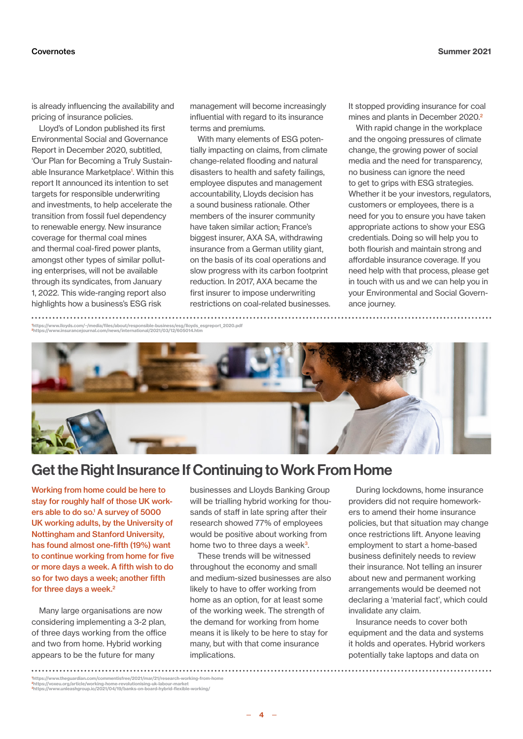is already influencing the availability and pricing of insurance policies.

Lloyd's of London published its first Environmental Social and Governance Report in December 2020, subtitled, 'Our Plan for Becoming a Truly Sustainable Insurance Marketplace<sup>1</sup>. Within this report It announced its intention to set targets for responsible underwriting and investments, to help accelerate the transition from fossil fuel dependency to renewable energy. New insurance coverage for thermal coal mines and thermal coal-fired power plants, amongst other types of similar polluting enterprises, will not be available through its syndicates, from January 1, 2022. This wide-ranging report also highlights how a business's ESG risk

management will become increasingly influential with regard to its insurance terms and premiums.

With many elements of ESG potentially impacting on claims, from climate change-related flooding and natural disasters to health and safety failings, employee disputes and management accountability, Lloyds decision has a sound business rationale. Other members of the insurer community have taken similar action; France's biggest insurer, AXA SA, withdrawing insurance from a German utility giant, on the basis of its coal operations and slow progress with its carbon footprint reduction. In 2017, AXA became the first insurer to impose underwriting restrictions on coal-related businesses. It stopped providing insurance for coal mines and plants in December 2020.<sup>2</sup>

With rapid change in the workplace and the ongoing pressures of climate change, the growing power of social media and the need for transparency, no business can ignore the need to get to grips with ESG strategies. Whether it be your investors, regulators, customers or employees, there is a need for you to ensure you have taken appropriate actions to show your ESG credentials. Doing so will help you to both flourish and maintain strong and affordable insurance coverage. If you need help with that process, please get in touch with us and we can help you in your Environmental and Social Governance journey.

1 https://www.lloyds.com/~/media/files/about/responsible-business/esg/lloyds\_esgreport\_2020.pdf <sup>2</sup>https://www.insurancejournal.com/news/international/2021/03/12/605014.htm



## Get the Right Insurance If Continuing to Work From Home

Working from home could be here to stay for roughly half of those UK workers able to do so.<sup>1</sup> A survey of 5000 UK working adults, by the University of Nottingham and Stanford University, has found almost one-fifth (19%) want to continue working from home for five or more days a week. A fifth wish to do so for two days a week; another fifth for three days a week.<sup>2</sup>

Many large organisations are now considering implementing a 3-2 plan, of three days working from the office and two from home. Hybrid working appears to be the future for many

businesses and Lloyds Banking Group will be trialling hybrid working for thousands of staff in late spring after their research showed 77% of employees would be positive about working from home two to three days a week<sup>3</sup>.

These trends will be witnessed throughout the economy and small and medium-sized businesses are also likely to have to offer working from home as an option, for at least some of the working week. The strength of the demand for working from home means it is likely to be here to stay for many, but with that come insurance implications.

During lockdowns, home insurance providers did not require homeworkers to amend their home insurance policies, but that situation may change once restrictions lift. Anyone leaving employment to start a home-based business definitely needs to review their insurance. Not telling an insurer about new and permanent working arrangements would be deemed not declaring a 'material fact', which could invalidate any claim.

Insurance needs to cover both equipment and the data and systems it holds and operates. Hybrid workers potentially take laptops and data on

1 https://www.theguardian.com/commentisfree/2021/mar/21/research-working-from-home <sup>2</sup>https://voxeu.org/article/working-home-revolutionising-uk-labour-market <sup>3</sup>https://www.unleashgroup.io/2021/04/19/banks-on-board-hybrid-flexible-working/

 $4 -$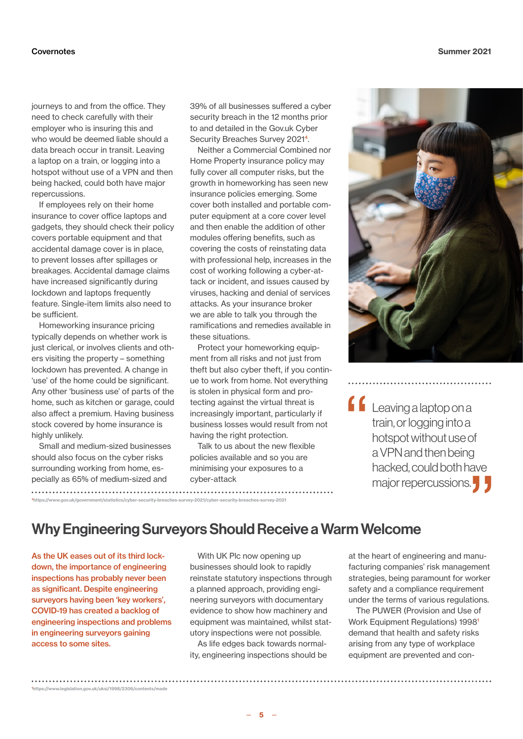journeys to and from the office. They need to check carefully with their employer who is insuring this and who would be deemed liable should a data breach occur in transit. Leaving a laptop on a train, or logging into a hotspot without use of a VPN and then being hacked, could both have major repercussions.

If employees rely on their home insurance to cover office laptops and gadgets, they should check their policy covers portable equipment and that accidental damage cover is in place, to prevent losses after spillages or breakages. Accidental damage claims have increased significantly during lockdown and laptops frequently feature. Single-item limits also need to be sufficient.

Homeworking insurance pricing typically depends on whether work is just clerical, or involves clients and others visiting the property – something lockdown has prevented. A change in 'use' of the home could be significant. Any other 'business use' of parts of the home, such as kitchen or garage, could also affect a premium. Having business stock covered by home insurance is highly unlikely.

Small and medium-sized businesses should also focus on the cyber risks surrounding working from home, especially as 65% of medium-sized and

<sup>4</sup>[ht](https://www.chubb.com/content/dam/chubb-sites/chubb-com/uk-en/business/life-science-in-the-era-of-pandemics/documents/pdf/5500_Chubb_LS_R5_Supply-chain_UK_Acc.pdf)tps://www.gov.uk/government/statistics/cyber-security-breaches-survey-2021/cyber-security-breaches-survey-2021

39% of all businesses suffered a cyber security breach in the 12 months prior to and detailed in the Gov.uk Cyber Security Breaches Survey 2021<sup>4</sup>.

Neither a Commercial Combined nor Home Property insurance policy may fully cover all computer risks, but the growth in homeworking has seen new insurance policies emerging. Some cover both installed and portable computer equipment at a core cover level and then enable the addition of other modules offering benefits, such as covering the costs of reinstating data with professional help, increases in the cost of working following a cyber-attack or incident, and issues caused by viruses, hacking and denial of services attacks. As your insurance broker we are able to talk you through the ramifications and remedies available in these situations.

Protect your homeworking equipment from all risks and not just from theft but also cyber theft, if you continue to work from home. Not everything is stolen in physical form and protecting against the virtual threat is increasingly important, particularly if business losses would result from not having the right protection.

Talk to us about the new flexible policies available and so you are minimising your exposures to a cyber-attack



 $\blacksquare$ Leaving a laptop on a train, or logging into a hotspot without use of a VPN and then being hacked, could both have major repercussions.

#### Why Engineering Surveyors Should Receive a Warm Welcome

As the UK eases out of its third lockdown, the importance of engineering inspections has probably never been as significant. Despite engineering surveyors having been 'key workers', COVID-19 has created a backlog of engineering inspections and problems in engineering surveyors gaining access to some sites.

[1](https://www.chubb.com/content/dam/chubb-sites/chubb-com/uk-en/business/life-science-in-the-era-of-pandemics/documents/pdf/5500_chubb_ls_r1_clinical-trials_final.pdf) [h](https://www.chubb.com/content/dam/chubb-sites/chubb-com/uk-en/business/life-science-in-the-era-of-pandemics/documents/pdf/5500_chubb_ls_r1_clinical-trials_final.pdf)ttps://www.legislation.gov.uk/uksi/1998/2306/contents/made

With UK Plc now opening up businesses should look to rapidly reinstate statutory inspections through a planned approach, providing engineering surveyors with documentary evidence to show how machinery and equipment was maintained, whilst statutory inspections were not possible.

As life edges back towards normality, engineering inspections should be at the heart of engineering and manufacturing companies' risk management strategies, being paramount for worker safety and a compliance requirement under the terms of various regulations.

The PUWER (Provision and Use of Work Equipment Regulations) 1998<sup>1</sup> demand that health and safety risks arising from any type of workplace equipment are prevented and con-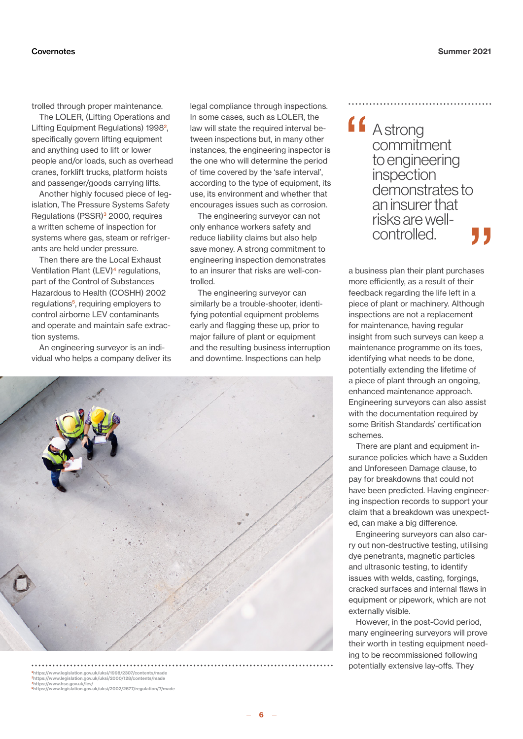trolled through proper maintenance.

The LOLER, (Lifting Operations and Lifting Equipment Regulations) 1998<sup>2</sup>, specifically govern lifting equipment and anything used to lift or lower people and/or loads, such as overhead cranes, forklift trucks, platform hoists and passenger/goods carrying lifts.

Another highly focused piece of legislation, The Pressure Systems Safety Regulations (PSSR)<sup>3</sup> 2000, requires a written scheme of inspection for systems where gas, steam or refrigerants are held under pressure.

Then there are the Local Exhaust Ventilation Plant (LEV)<sup>4</sup> regulations, part of the Control of Substances Hazardous to Health (COSHH) 2002 regulations<sup>5</sup>, requiring employers to control airborne LEV contaminants and operate and maintain safe extraction systems.

An engineering surveyor is an individual who helps a company deliver its legal compliance through inspections. In some cases, such as LOLER, the law will state the required interval between inspections but, in many other instances, the engineering inspector is the one who will determine the period of time covered by the 'safe interval', according to the type of equipment, its use, its environment and whether that encourages issues such as corrosion.

The engineering surveyor can not only enhance workers safety and reduce liability claims but also help save money. A strong commitment to engineering inspection demonstrates to an insurer that risks are well-controlled.

The engineering surveyor can similarly be a trouble-shooter, identifying potential equipment problems early and flagging these up, prior to major failure of plant or equipment and the resulting business interruption and downtime. Inspections can help



<sup>2</sup>https://www.legislation.gov.uk/uksi/1998/2307/contents/mad <sup>3</sup>https://www.legislation.gov.uk/uksi/2000/128/contents/made <sup>4</sup>https://www.hse.gov.uk/lev/ 5https://www.legislation.gov.uk/uksi/2002/2677/regulation/7/made **ff** Astrong commitment to engineering inspection demonstrates to an insurer that risks are wellcontrolled.

a business plan their plant purchases more efficiently, as a result of their feedback regarding the life left in a piece of plant or machinery. Although inspections are not a replacement for maintenance, having regular insight from such surveys can keep a maintenance programme on its toes, identifying what needs to be done, potentially extending the lifetime of a piece of plant through an ongoing, enhanced maintenance approach. Engineering surveyors can also assist with the documentation required by some British Standards' certification schemes.

There are plant and equipment insurance policies which have a Sudden and Unforeseen Damage clause, to pay for breakdowns that could not have been predicted. Having engineering inspection records to support your claim that a breakdown was unexpected, can make a big difference.

Engineering surveyors can also carry out non-destructive testing, utilising dye penetrants, magnetic particles and ultrasonic testing, to identify issues with welds, casting, forgings, cracked surfaces and internal flaws in equipment or pipework, which are not externally visible.

However, in the post-Covid period, many engineering surveyors will prove their worth in testing equipment needing to be recommissioned following potentially extensive lay-offs. They